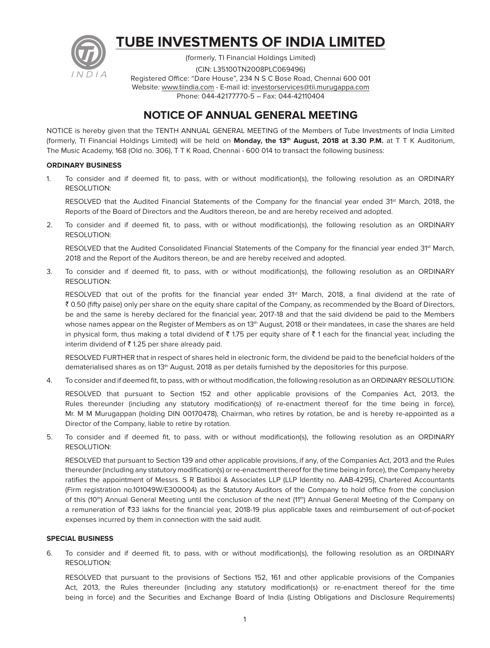

# **TUBE INVESTMENTS OF INDIA LIMITED**

(formerly, TI Financial Holdings Limited) (CIN: L35100TN2008PLC069496) Registered Office: "Dare House", 234 N S C Bose Road, Chennai 600 001 Website: www.tiindia.com - E-mail id: investorservices@tii.murugappa.com Phone: 044-42177770-5 – Fax: 044-42110404

# **NOTICE OF ANNUAL GENERAL MEETING**

NOTICE is hereby given that the TENTH ANNUAL GENERAL MEETING of the Members of Tube Investments of India Limited (formerly, TI Financial Holdings Limited) will be held on **Monday, the 13<sup>th</sup> August, 2018 at 3.30 P.M.** at T T K Auditorium, The Music Academy, 168 (Old no. 306), T T K Road, Chennai - 600 014 to transact the following business:

# **ORDINARY BUSINESS**

1. To consider and if deemed fit, to pass, with or without modification(s), the following resolution as an ORDINARY RESOLUTION:

RESOLVED that the Audited Financial Statements of the Company for the financial year ended 31<sup>st</sup> March, 2018, the Reports of the Board of Directors and the Auditors thereon, be and are hereby received and adopted.

2. To consider and if deemed fit, to pass, with or without modification(s), the following resolution as an ORDINARY RESOLUTION:

RESOLVED that the Audited Consolidated Financial Statements of the Company for the financial year ended 31<sup>st</sup> March, 2018 and the Report of the Auditors thereon, be and are hereby received and adopted.

3. To consider and if deemed fit, to pass, with or without modification(s), the following resolution as an ORDINARY RESOLUTION:

RESOLVED that out of the profits for the financial year ended 31<sup>st</sup> March, 2018, a final dividend at the rate of ₹ 0.50 (fifty paise) only per share on the equity share capital of the Company, as recommended by the Board of Directors, be and the same is hereby declared for the financial year, 2017-18 and that the said dividend be paid to the Members whose names appear on the Register of Members as on 13<sup>th</sup> August, 2018 or their mandatees, in case the shares are held in physical form, thus making a total dividend of  $\bar{\tau}$  1.75 per equity share of  $\bar{\tau}$  1 each for the financial year, including the interim dividend of  $\bar{\tau}$  1.25 per share already paid.

 RESOLVED FURTHER that in respect of shares held in electronic form, the dividend be paid to the beneficial holders of the dematerialised shares as on 13<sup>th</sup> August, 2018 as per details furnished by the depositories for this purpose.

4. To consider and if deemed fit, to pass, with or without modification, the following resolution as an ORDINARY RESOLUTION:

 RESOLVED that pursuant to Section 152 and other applicable provisions of the Companies Act, 2013, the Rules thereunder (including any statutory modification(s) of re-enactment thereof for the time being in force), Mr. M M Murugappan (holding DIN 00170478), Chairman, who retires by rotation, be and is hereby re-appointed as a Director of the Company, liable to retire by rotation.

5. To consider and if deemed fit, to pass, with or without modification(s), the following resolution as an ORDINARY RESOLUTION:

 RESOLVED that pursuant to Section 139 and other applicable provisions, if any, of the Companies Act, 2013 and the Rules thereunder (including any statutory modification(s) or re-enactment thereof for the time being in force), the Company hereby ratifies the appointment of Messrs. S R Batliboi & Associates LLP (LLP Identity no. AAB-4295), Chartered Accountants (Firm registration no.101049W/E300004) as the Statutory Auditors of the Company to hold office from the conclusion of this (10<sup>th</sup>) Annual General Meeting until the conclusion of the next (11<sup>th</sup>) Annual General Meeting of the Company on a remuneration of `33 lakhs for the financial year, 2018-19 plus applicable taxes and reimbursement of out-of-pocket expenses incurred by them in connection with the said audit.

# **SPECIAL BUSINESS**

6. To consider and if deemed fit, to pass, with or without modification(s), the following resolution as an ORDINARY RESOLUTION:

 RESOLVED that pursuant to the provisions of Sections 152, 161 and other applicable provisions of the Companies Act, 2013, the Rules thereunder (including any statutory modification(s) or re-enactment thereof for the time being in force) and the Securities and Exchange Board of India (Listing Obligations and Disclosure Requirements)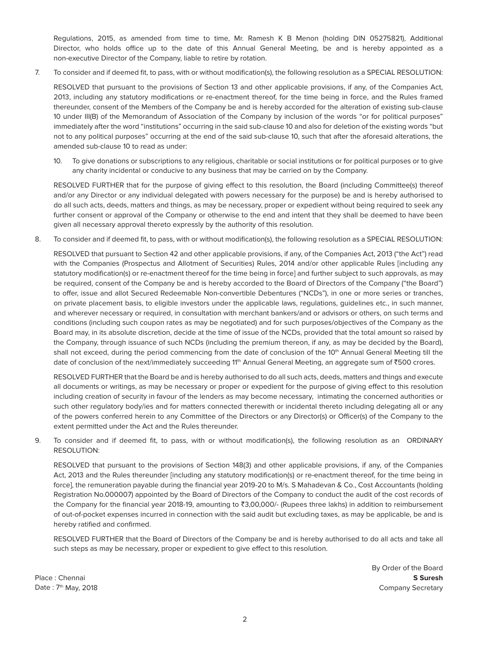Regulations, 2015, as amended from time to time, Mr. Ramesh K B Menon (holding DIN 05275821), Additional Director, who holds office up to the date of this Annual General Meeting, be and is hereby appointed as a non-executive Director of the Company, liable to retire by rotation.

7. To consider and if deemed fit, to pass, with or without modification(s), the following resolution as a SPECIAL RESOLUTION:

 RESOLVED that pursuant to the provisions of Section 13 and other applicable provisions, if any, of the Companies Act, 2013, including any statutory modifications or re-enactment thereof, for the time being in force, and the Rules framed thereunder, consent of the Members of the Company be and is hereby accorded for the alteration of existing sub-clause 10 under III(B) of the Memorandum of Association of the Company by inclusion of the words "or for political purposes" immediately after the word "institutions" occurring in the said sub-clause 10 and also for deletion of the existing words "but not to any political purposes" occurring at the end of the said sub-clause 10, such that after the aforesaid alterations, the amended sub-clause 10 to read as under:

10. To give donations or subscriptions to any religious, charitable or social institutions or for political purposes or to give any charity incidental or conducive to any business that may be carried on by the Company.

 RESOLVED FURTHER that for the purpose of giving effect to this resolution, the Board (including Committee(s) thereof and/or any Director or any individual delegated with powers necessary for the purpose) be and is hereby authorised to do all such acts, deeds, matters and things, as may be necessary, proper or expedient without being required to seek any further consent or approval of the Company or otherwise to the end and intent that they shall be deemed to have been given all necessary approval thereto expressly by the authority of this resolution.

8. To consider and if deemed fit, to pass, with or without modification(s), the following resolution as a SPECIAL RESOLUTION:

 RESOLVED that pursuant to Section 42 and other applicable provisions, if any, of the Companies Act, 2013 ("the Act") read with the Companies (Prospectus and Allotment of Securities) Rules, 2014 and/or other applicable Rules [including any statutory modification(s) or re-enactment thereof for the time being in force] and further subject to such approvals, as may be required, consent of the Company be and is hereby accorded to the Board of Directors of the Company ("the Board") to offer, issue and allot Secured Redeemable Non-convertible Debentures ("NCDs"), in one or more series or tranches, on private placement basis, to eligible investors under the applicable laws, regulations, guidelines etc., in such manner, and wherever necessary or required, in consultation with merchant bankers/and or advisors or others, on such terms and conditions (including such coupon rates as may be negotiated) and for such purposes/objectives of the Company as the Board may, in its absolute discretion, decide at the time of issue of the NCDs, provided that the total amount so raised by the Company, through issuance of such NCDs (including the premium thereon, if any, as may be decided by the Board), shall not exceed, during the period commencing from the date of conclusion of the 10th Annual General Meeting till the date of conclusion of the next/immediately succeeding 11<sup>th</sup> Annual General Meeting, an aggregate sum of ₹500 crores.

 RESOLVED FURTHER that the Board be and is hereby authorised to do all such acts, deeds, matters and things and execute all documents or writings, as may be necessary or proper or expedient for the purpose of giving effect to this resolution including creation of security in favour of the lenders as may become necessary, intimating the concerned authorities or such other regulatory body/ies and for matters connected therewith or incidental thereto including delegating all or any of the powers conferred herein to any Committee of the Directors or any Director(s) or Officer(s) of the Company to the extent permitted under the Act and the Rules thereunder.

9. To consider and if deemed fit, to pass, with or without modification(s), the following resolution as an ORDINARY RESOLUTION:

 RESOLVED that pursuant to the provisions of Section 148(3) and other applicable provisions, if any, of the Companies Act, 2013 and the Rules thereunder [including any statutory modification(s) or re-enactment thereof, for the time being in force], the remuneration payable during the financial year 2019-20 to M/s. S Mahadevan & Co., Cost Accountants (holding Registration No.000007) appointed by the Board of Directors of the Company to conduct the audit of the cost records of the Company for the financial year 2018-19, amounting to ₹3,00,000/- (Rupees three lakhs) in addition to reimbursement of out-of-pocket expenses incurred in connection with the said audit but excluding taxes, as may be applicable, be and is hereby ratified and confirmed.

 RESOLVED FURTHER that the Board of Directors of the Company be and is hereby authorised to do all acts and take all such steps as may be necessary, proper or expedient to give effect to this resolution.

By Order of the Board Place : Chennai **S Suresh** Date : 7<sup>th</sup> May, 2018 **Company Secretary** 2018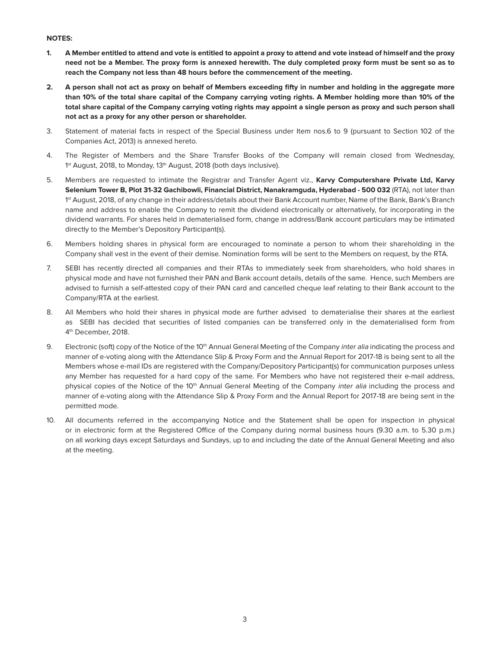# **NOTES:**

- **1. A Member entitled to attend and vote is entitled to appoint a proxy to attend and vote instead of himself and the proxy need not be a Member. The proxy form is annexed herewith. The duly completed proxy form must be sent so as to reach the Company not less than 48 hours before the commencement of the meeting.**
- **2. A person shall not act as proxy on behalf of Members exceeding fifty in number and holding in the aggregate more than 10% of the total share capital of the Company carrying voting rights. A Member holding more than 10% of the total share capital of the Company carrying voting rights may appoint a single person as proxy and such person shall not act as a proxy for any other person or shareholder.**
- 3. Statement of material facts in respect of the Special Business under Item nos.6 to 9 (pursuant to Section 102 of the Companies Act, 2013) is annexed hereto.
- 4. The Register of Members and the Share Transfer Books of the Company will remain closed from Wednesday, 1<sup>st</sup> August, 2018, to Monday, 13<sup>th</sup> August, 2018 (both days inclusive).
- 5. Members are requested to intimate the Registrar and Transfer Agent viz., **Karvy Computershare Private Ltd, Karvy Selenium Tower B, Plot 31-32 Gachibowli, Financial District, Nanakramguda, Hyderabad - 500 032** (RTA), not later than 1st August, 2018, of any change in their address/details about their Bank Account number, Name of the Bank, Bank's Branch name and address to enable the Company to remit the dividend electronically or alternatively, for incorporating in the dividend warrants. For shares held in dematerialised form, change in address/Bank account particulars may be intimated directly to the Member's Depository Participant(s).
- 6. Members holding shares in physical form are encouraged to nominate a person to whom their shareholding in the Company shall vest in the event of their demise. Nomination forms will be sent to the Members on request, by the RTA.
- 7. SEBI has recently directed all companies and their RTAs to immediately seek from shareholders, who hold shares in physical mode and have not furnished their PAN and Bank account details, details of the same. Hence, such Members are advised to furnish a self-attested copy of their PAN card and cancelled cheque leaf relating to their Bank account to the Company/RTA at the earliest.
- 8. All Members who hold their shares in physical mode are further advised to dematerialise their shares at the earliest as SEBI has decided that securities of listed companies can be transferred only in the dematerialised form from 4<sup>th</sup> December, 2018.
- 9. Electronic (soft) copy of the Notice of the 10<sup>th</sup> Annual General Meeting of the Company *inter alia* indicating the process and manner of e-voting along with the Attendance Slip & Proxy Form and the Annual Report for 2017-18 is being sent to all the Members whose e-mail IDs are registered with the Company/Depository Participant(s) for communication purposes unless any Member has requested for a hard copy of the same. For Members who have not registered their e-mail address, physical copies of the Notice of the 10<sup>th</sup> Annual General Meeting of the Company inter alia including the process and manner of e-voting along with the Attendance Slip & Proxy Form and the Annual Report for 2017-18 are being sent in the permitted mode.
- 10. All documents referred in the accompanying Notice and the Statement shall be open for inspection in physical or in electronic form at the Registered Office of the Company during normal business hours (9.30 a.m. to 5.30 p.m.) on all working days except Saturdays and Sundays, up to and including the date of the Annual General Meeting and also at the meeting.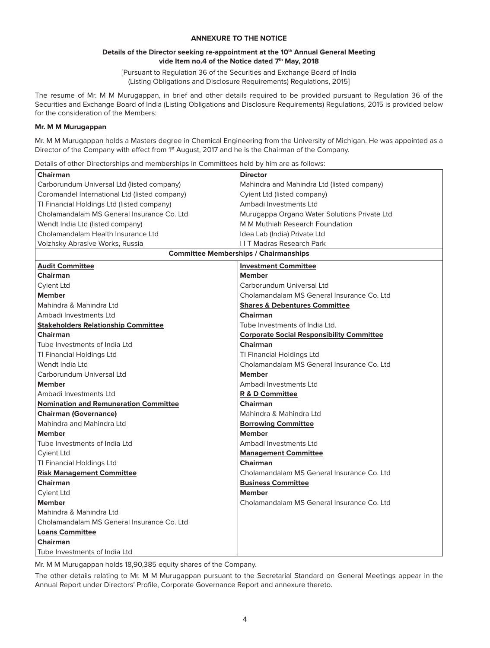# **ANNEXURE TO THE NOTICE**

#### Details of the Director seeking re-appointment at the 10<sup>th</sup> Annual General Meeting vide Item no.4 of the Notice dated 7<sup>th</sup> May, 2018

[Pursuant to Regulation 36 of the Securities and Exchange Board of India (Listing Obligations and Disclosure Requirements) Regulations, 2015]

The resume of Mr. M M Murugappan, in brief and other details required to be provided pursuant to Regulation 36 of the Securities and Exchange Board of India (Listing Obligations and Disclosure Requirements) Regulations, 2015 is provided below for the consideration of the Members:

#### **Mr. M M Murugappan**

Mr. M M Murugappan holds a Masters degree in Chemical Engineering from the University of Michigan. He was appointed as a Director of the Company with effect from 1<sup>st</sup> August, 2017 and he is the Chairman of the Company.

Details of other Directorships and memberships in Committees held by him are as follows:

| <b>Chairman</b>                               | <b>Director</b>                                  |
|-----------------------------------------------|--------------------------------------------------|
| Carborundum Universal Ltd (listed company)    | Mahindra and Mahindra Ltd (listed company)       |
| Coromandel International Ltd (listed company) | Cyient Ltd (listed company)                      |
| TI Financial Holdings Ltd (listed company)    | Ambadi Investments Ltd                           |
| Cholamandalam MS General Insurance Co. Ltd    | Murugappa Organo Water Solutions Private Ltd     |
| Wendt India Ltd (listed company)              | M M Muthiah Research Foundation                  |
| Cholamandalam Health Insurance Ltd            | Idea Lab (India) Private Ltd                     |
| Volzhsky Abrasive Works, Russia               | <b>IIT Madras Research Park</b>                  |
| <b>Committee Memberships / Chairmanships</b>  |                                                  |
| <b>Audit Committee</b>                        | <b>Investment Committee</b>                      |
| <b>Chairman</b>                               | <b>Member</b>                                    |
| <b>Cyient Ltd</b>                             | Carborundum Universal Ltd                        |
| <b>Member</b>                                 | Cholamandalam MS General Insurance Co. Ltd       |
| Mahindra & Mahindra Ltd                       | <b>Shares &amp; Debentures Committee</b>         |
| Ambadi Investments Ltd                        | Chairman                                         |
| <b>Stakeholders Relationship Committee</b>    | Tube Investments of India Ltd.                   |
| <b>Chairman</b>                               | <b>Corporate Social Responsibility Committee</b> |
| Tube Investments of India Ltd                 | <b>Chairman</b>                                  |
| TI Financial Holdings Ltd                     | TI Financial Holdings Ltd                        |
| Wendt India Ltd                               | Cholamandalam MS General Insurance Co. Ltd       |
| Carborundum Universal Ltd                     | <b>Member</b>                                    |
| <b>Member</b>                                 | Ambadi Investments Ltd                           |
| Ambadi Investments Ltd                        | R & D Committee                                  |
| <b>Nomination and Remuneration Committee</b>  | <b>Chairman</b>                                  |
| <b>Chairman (Governance)</b>                  | Mahindra & Mahindra Ltd                          |
| Mahindra and Mahindra Ltd                     | <b>Borrowing Committee</b>                       |
| <b>Member</b>                                 | <b>Member</b>                                    |
| Tube Investments of India Ltd                 | Ambadi Investments Ltd                           |
| <b>Cyient Ltd</b>                             | <b>Management Committee</b>                      |
| TI Financial Holdings Ltd                     | Chairman                                         |
| <b>Risk Management Committee</b>              | Cholamandalam MS General Insurance Co. Ltd       |
| <b>Chairman</b>                               | <b>Business Committee</b>                        |
| <b>Cyient Ltd</b>                             | <b>Member</b>                                    |
| <b>Member</b>                                 | Cholamandalam MS General Insurance Co. Ltd       |
| Mahindra & Mahindra Ltd                       |                                                  |
| Cholamandalam MS General Insurance Co. Ltd    |                                                  |
| <b>Loans Committee</b>                        |                                                  |
| <b>Chairman</b>                               |                                                  |
| Tube Investments of India Ltd                 |                                                  |

Mr. M M Murugappan holds 18,90,385 equity shares of the Company.

The other details relating to Mr. M M Murugappan pursuant to the Secretarial Standard on General Meetings appear in the Annual Report under Directors' Profile, Corporate Governance Report and annexure thereto.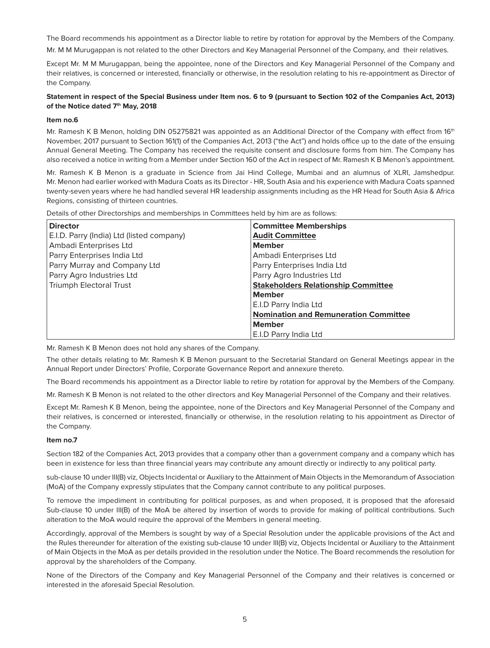The Board recommends his appointment as a Director liable to retire by rotation for approval by the Members of the Company.

Mr. M M Murugappan is not related to the other Directors and Key Managerial Personnel of the Company, and their relatives.

Except Mr. M M Murugappan, being the appointee, none of the Directors and Key Managerial Personnel of the Company and their relatives, is concerned or interested, financially or otherwise, in the resolution relating to his re-appointment as Director of the Company.

# **Statement in respect of the Special Business under Item nos. 6 to 9 (pursuant to Section 102 of the Companies Act, 2013)**  of the Notice dated 7<sup>th</sup> May, 2018

#### **Item no.6**

Mr. Ramesh K B Menon, holding DIN 05275821 was appointed as an Additional Director of the Company with effect from 16<sup>th</sup> November, 2017 pursuant to Section 161(1) of the Companies Act, 2013 ("the Act") and holds office up to the date of the ensuing Annual General Meeting. The Company has received the requisite consent and disclosure forms from him. The Company has also received a notice in writing from a Member under Section 160 of the Act in respect of Mr. Ramesh K B Menon's appointment.

Mr. Ramesh K B Menon is a graduate in Science from Jai Hind College, Mumbai and an alumnus of XLRI, Jamshedpur. Mr. Menon had earlier worked with Madura Coats as its Director - HR, South Asia and his experience with Madura Coats spanned twenty-seven years where he had handled several HR leadership assignments including as the HR Head for South Asia & Africa Regions, consisting of thirteen countries.

Details of other Directorships and memberships in Committees held by him are as follows:

| <b>Director</b>                           | <b>Committee Memberships</b>                 |
|-------------------------------------------|----------------------------------------------|
| E.I.D. Parry (India) Ltd (listed company) | <b>Audit Committee</b>                       |
| Ambadi Enterprises Ltd                    | <b>Member</b>                                |
| Parry Enterprises India Ltd               | Ambadi Enterprises Ltd                       |
| Parry Murray and Company Ltd              | Parry Enterprises India Ltd                  |
| Parry Agro Industries Ltd                 | Parry Agro Industries Ltd                    |
| <b>Triumph Electoral Trust</b>            | <b>Stakeholders Relationship Committee</b>   |
|                                           | <b>Member</b>                                |
|                                           | E.I.D Parry India Ltd                        |
|                                           | <b>Nomination and Remuneration Committee</b> |
|                                           | <b>Member</b>                                |
|                                           | E.I.D Parry India Ltd                        |

Mr. Ramesh K B Menon does not hold any shares of the Company.

The other details relating to Mr. Ramesh K B Menon pursuant to the Secretarial Standard on General Meetings appear in the Annual Report under Directors' Profile, Corporate Governance Report and annexure thereto.

The Board recommends his appointment as a Director liable to retire by rotation for approval by the Members of the Company.

Mr. Ramesh K B Menon is not related to the other directors and Key Managerial Personnel of the Company and their relatives.

Except Mr. Ramesh K B Menon, being the appointee, none of the Directors and Key Managerial Personnel of the Company and their relatives, is concerned or interested, financially or otherwise, in the resolution relating to his appointment as Director of the Company.

#### **Item no.7**

Section 182 of the Companies Act, 2013 provides that a company other than a government company and a company which has been in existence for less than three financial years may contribute any amount directly or indirectly to any political party.

sub-clause 10 under III(B) viz, Objects Incidental or Auxiliary to the Attainment of Main Objects in the Memorandum of Association (MoA) of the Company expressly stipulates that the Company cannot contribute to any political purposes.

To remove the impediment in contributing for political purposes, as and when proposed, it is proposed that the aforesaid Sub-clause 10 under III(B) of the MoA be altered by insertion of words to provide for making of political contributions. Such alteration to the MoA would require the approval of the Members in general meeting.

Accordingly, approval of the Members is sought by way of a Special Resolution under the applicable provisions of the Act and the Rules thereunder for alteration of the existing sub-clause 10 under III(B) viz, Objects Incidental or Auxiliary to the Attainment of Main Objects in the MoA as per details provided in the resolution under the Notice. The Board recommends the resolution for approval by the shareholders of the Company.

None of the Directors of the Company and Key Managerial Personnel of the Company and their relatives is concerned or interested in the aforesaid Special Resolution.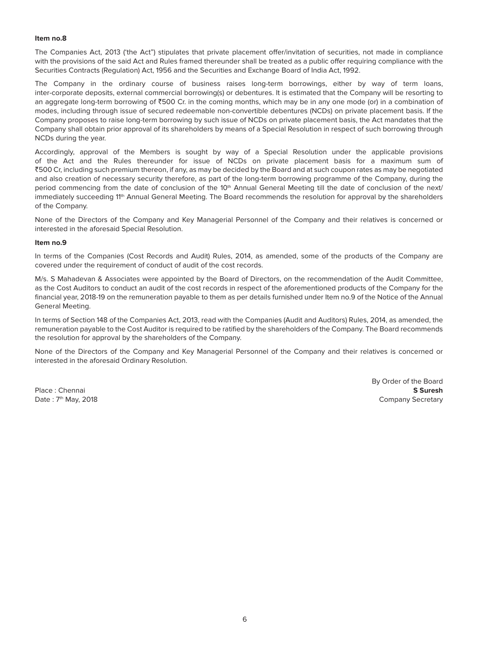#### **Item no.8**

The Companies Act, 2013 ('the Act") stipulates that private placement offer/invitation of securities, not made in compliance with the provisions of the said Act and Rules framed thereunder shall be treated as a public offer requiring compliance with the Securities Contracts (Regulation) Act, 1956 and the Securities and Exchange Board of India Act, 1992.

The Company in the ordinary course of business raises long-term borrowings, either by way of term loans, inter-corporate deposits, external commercial borrowing(s) or debentures. It is estimated that the Company will be resorting to an aggregate long-term borrowing of  $\text{\textdegree{500 Cr}}$  in the coming months, which may be in any one mode (or) in a combination of modes, including through issue of secured redeemable non-convertible debentures (NCDs) on private placement basis. If the Company proposes to raise long-term borrowing by such issue of NCDs on private placement basis, the Act mandates that the Company shall obtain prior approval of its shareholders by means of a Special Resolution in respect of such borrowing through NCDs during the year.

Accordingly, approval of the Members is sought by way of a Special Resolution under the applicable provisions of the Act and the Rules thereunder for issue of NCDs on private placement basis for a maximum sum of `500 Cr, including such premium thereon, if any, as may be decided by the Board and at such coupon rates as may be negotiated and also creation of necessary security therefore, as part of the long-term borrowing programme of the Company, during the period commencing from the date of conclusion of the 10<sup>th</sup> Annual General Meeting till the date of conclusion of the next/ immediately succeeding 11<sup>th</sup> Annual General Meeting. The Board recommends the resolution for approval by the shareholders of the Company.

None of the Directors of the Company and Key Managerial Personnel of the Company and their relatives is concerned or interested in the aforesaid Special Resolution.

#### **Item no.9**

In terms of the Companies (Cost Records and Audit) Rules, 2014, as amended, some of the products of the Company are covered under the requirement of conduct of audit of the cost records.

M/s. S Mahadevan & Associates were appointed by the Board of Directors, on the recommendation of the Audit Committee, as the Cost Auditors to conduct an audit of the cost records in respect of the aforementioned products of the Company for the financial year, 2018-19 on the remuneration payable to them as per details furnished under Item no.9 of the Notice of the Annual General Meeting.

In terms of Section 148 of the Companies Act, 2013, read with the Companies (Audit and Auditors) Rules, 2014, as amended, the remuneration payable to the Cost Auditor is required to be ratified by the shareholders of the Company. The Board recommends the resolution for approval by the shareholders of the Company.

None of the Directors of the Company and Key Managerial Personnel of the Company and their relatives is concerned or interested in the aforesaid Ordinary Resolution.

By Order of the Board Place : Chennai **S Suresh** Date : 7<sup>th</sup> May, 2018 **Company Secretary** Company Secretary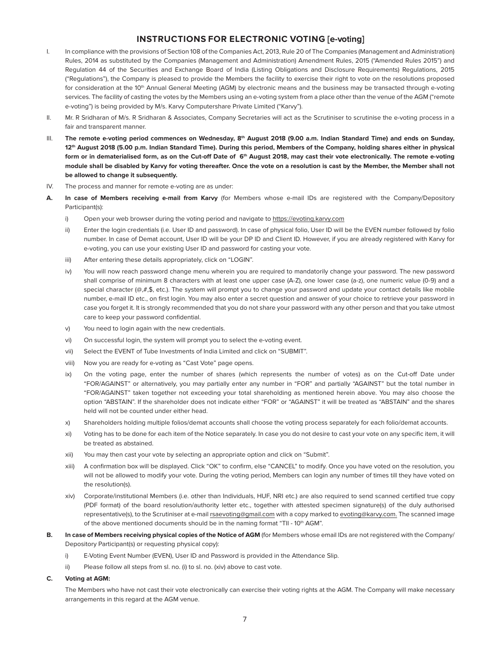# **INSTRUCTIONS FOR ELECTRONIC VOTING [e-voting]**

- I. In compliance with the provisions of Section 108 of the Companies Act, 2013, Rule 20 of The Companies (Management and Administration) Rules, 2014 as substituted by the Companies (Management and Administration) Amendment Rules, 2015 ("Amended Rules 2015") and Regulation 44 of the Securities and Exchange Board of India (Listing Obligations and Disclosure Requirements) Regulations, 2015 ("Regulations"), the Company is pleased to provide the Members the facility to exercise their right to vote on the resolutions proposed for consideration at the 10<sup>th</sup> Annual General Meeting (AGM) by electronic means and the business may be transacted through e-voting services. The facility of casting the votes by the Members using an e-voting system from a place other than the venue of the AGM ("remote e-voting") is being provided by M/s. Karvy Computershare Private Limited ("Karvy").
- II. Mr. R Sridharan of M/s. R Sridharan & Associates, Company Secretaries will act as the Scrutiniser to scrutinise the e-voting process in a fair and transparent manner.
- III. The remote e-voting period commences on Wednesday, 8<sup>th</sup> August 2018 (9.00 a.m. Indian Standard Time) and ends on Sunday, **12th August 2018 (5.00 p.m. Indian Standard Time). During this period, Members of the Company, holding shares either in physical**  form or in dematerialised form, as on the Cut-off Date of 6<sup>th</sup> August 2018, may cast their vote electronically. The remote e-voting **module shall be disabled by Karvy for voting thereafter. Once the vote on a resolution is cast by the Member, the Member shall not be allowed to change it subsequently.**
- IV. The process and manner for remote e-voting are as under:
- **A. In case of Members receiving e-mail from Karvy** (for Members whose e-mail IDs are registered with the Company/Depository Participant(s):
	- i) Open your web browser during the voting period and navigate to https://evoting.karvy.com
	- ii) Enter the login credentials (i.e. User ID and password). In case of physical folio, User ID will be the EVEN number followed by folio number. In case of Demat account, User ID will be your DP ID and Client ID. However, if you are already registered with Karvy for e-voting, you can use your existing User ID and password for casting your vote.
	- iii) After entering these details appropriately, click on "LOGIN".
	- iv) You will now reach password change menu wherein you are required to mandatorily change your password. The new password shall comprise of minimum 8 characters with at least one upper case (A-Z), one lower case (a-z), one numeric value (0-9) and a special character ( $@, #$ ,\$, etc.). The system will prompt you to change your password and update your contact details like mobile number, e-mail ID etc., on first login. You may also enter a secret question and answer of your choice to retrieve your password in case you forget it. It is strongly recommended that you do not share your password with any other person and that you take utmost care to keep your password confidential.
	- v) You need to login again with the new credentials.
	- vi) On successful login, the system will prompt you to select the e-voting event.
	- vii) Select the EVENT of Tube Investments of India Limited and click on "SUBMIT".
	- viii) Now you are ready for e-voting as "Cast Vote" page opens.
	- ix) On the voting page, enter the number of shares (which represents the number of votes) as on the Cut-off Date under "FOR/AGAINST" or alternatively, you may partially enter any number in "FOR" and partially "AGAINST" but the total number in "FOR/AGAINST" taken together not exceeding your total shareholding as mentioned herein above. You may also choose the option "ABSTAIN". If the shareholder does not indicate either "FOR" or "AGAINST" it will be treated as "ABSTAIN" and the shares held will not be counted under either head.
	- x) Shareholders holding multiple folios/demat accounts shall choose the voting process separately for each folio/demat accounts.
	- xi) Voting has to be done for each item of the Notice separately. In case you do not desire to cast your vote on any specific item, it will be treated as abstained.
	- xii) You may then cast your vote by selecting an appropriate option and click on "Submit".
	- xiii) A confirmation box will be displayed. Click "OK" to confirm, else "CANCEL" to modify. Once you have voted on the resolution, you will not be allowed to modify your vote. During the voting period, Members can login any number of times till they have voted on the resolution(s).
	- xiv) Corporate/institutional Members (i.e. other than Individuals, HUF, NRI etc.) are also required to send scanned certified true copy (PDF format) of the board resolution/authority letter etc., together with attested specimen signature(s) of the duly authorised representative(s), to the Scrutiniser at e-mail rsaevoting@gmail.com with a copy marked to evoting@karvy.com. The scanned image of the above mentioned documents should be in the naming format "TII - 10<sup>th</sup> AGM".
- **B. In case of Members receiving physical copies of the Notice of AGM** (for Members whose email IDs are not registered with the Company/ Depository Participant(s) or requesting physical copy):
	- i) E-Voting Event Number (EVEN), User ID and Password is provided in the Attendance Slip.
	- ii) Please follow all steps from sl. no. (i) to sl. no. (xiv) above to cast vote.
- **C. Voting at AGM:**

 The Members who have not cast their vote electronically can exercise their voting rights at the AGM. The Company will make necessary arrangements in this regard at the AGM venue.